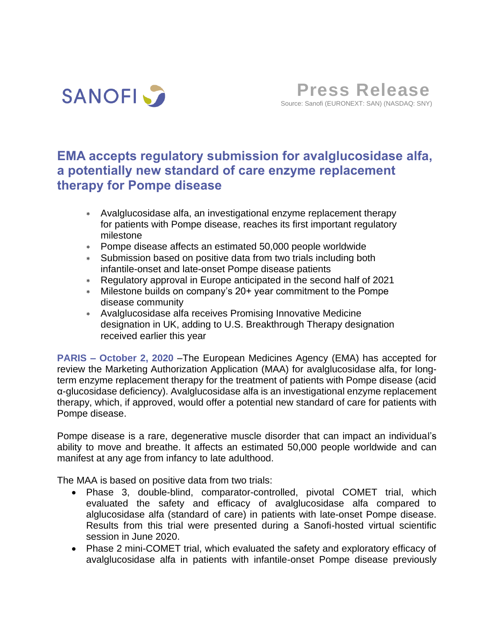

**Press Release** Source: Sanofi (EURONEXT: SAN) (NASDAQ: SNY)

# **EMA accepts regulatory submission for avalglucosidase alfa, a potentially new standard of care enzyme replacement therapy for Pompe disease**

- Avalglucosidase alfa, an investigational enzyme replacement therapy for patients with Pompe disease, reaches its first important regulatory milestone
- Pompe disease affects an estimated 50,000 people worldwide
- Submission based on positive data from two trials including both infantile-onset and late-onset Pompe disease patients
- Regulatory approval in Europe anticipated in the second half of 2021
- Milestone builds on company's 20+ year commitment to the Pompe disease community
- Avalglucosidase alfa receives Promising Innovative Medicine designation in UK, adding to U.S. Breakthrough Therapy designation received earlier this year

**PARIS – October 2, 2020** –The European Medicines Agency (EMA) has accepted for review the Marketing Authorization Application (MAA) for avalglucosidase alfa, for longterm enzyme replacement therapy for the treatment of patients with Pompe disease (acid α-glucosidase deficiency). Avalglucosidase alfa is an investigational enzyme replacement therapy, which, if approved, would offer a potential new standard of care for patients with Pompe disease.

Pompe disease is a rare, degenerative muscle disorder that can impact an individual's ability to move and breathe. It affects an estimated 50,000 people worldwide and can manifest at any age from infancy to late adulthood.

The MAA is based on positive data from two trials:

- Phase 3, double-blind, comparator-controlled, pivotal COMET trial, which evaluated the safety and efficacy of avalglucosidase alfa compared to alglucosidase alfa (standard of care) in patients with late-onset Pompe disease. Results from this trial were presented during a Sanofi-hosted virtual scientific session in June 2020.
- Phase 2 mini-COMET trial, which evaluated the safety and exploratory efficacy of avalglucosidase alfa in patients with infantile-onset Pompe disease previously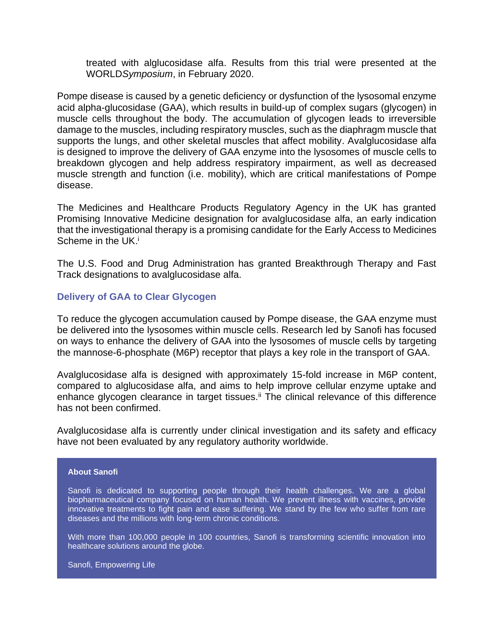treated with alglucosidase alfa. Results from this trial were presented at the WORLD*Symposium*, in February 2020.

Pompe disease is caused by a genetic deficiency or dysfunction of the lysosomal enzyme acid alpha-glucosidase (GAA), which results in build-up of complex sugars (glycogen) in muscle cells throughout the body. The accumulation of glycogen leads to irreversible damage to the muscles, including respiratory muscles, such as the diaphragm muscle that supports the lungs, and other skeletal muscles that affect mobility. Avalglucosidase alfa is designed to improve the delivery of GAA enzyme into the lysosomes of muscle cells to breakdown glycogen and help address respiratory impairment, as well as decreased muscle strength and function (i.e. mobility), which are critical manifestations of Pompe disease.

The Medicines and Healthcare Products Regulatory Agency in the UK has granted Promising Innovative Medicine designation for avalglucosidase alfa, an early indication that the investigational therapy is a promising candidate for the Early Access to Medicines Scheme in the UK.<sup>i</sup>

The U.S. Food and Drug Administration has granted Breakthrough Therapy and Fast Track designations to avalglucosidase alfa.

# **Delivery of GAA to Clear Glycogen**

To reduce the glycogen accumulation caused by Pompe disease, the GAA enzyme must be delivered into the lysosomes within muscle cells. Research led by Sanofi has focused on ways to enhance the delivery of GAA into the lysosomes of muscle cells by targeting the mannose-6-phosphate (M6P) receptor that plays a key role in the transport of GAA.

Avalglucosidase alfa is designed with approximately 15-fold increase in M6P content, compared to alglucosidase alfa, and aims to help improve cellular enzyme uptake and enhance glycogen clearance in target tissues.<sup>ii</sup> The clinical relevance of this difference has not been confirmed.

Avalglucosidase alfa is currently under clinical investigation and its safety and efficacy have not been evaluated by any regulatory authority worldwide.

## **About Sanofi**

Sanofi is dedicated to supporting people through their health challenges. We are a global biopharmaceutical company focused on human health. We prevent illness with vaccines, provide innovative treatments to fight pain and ease suffering. We stand by the few who suffer from rare diseases and the millions with long-term chronic conditions.

With more than 100,000 people in 100 countries, Sanofi is transforming scientific innovation into healthcare solutions around the globe.

Sanofi, Empowering Life